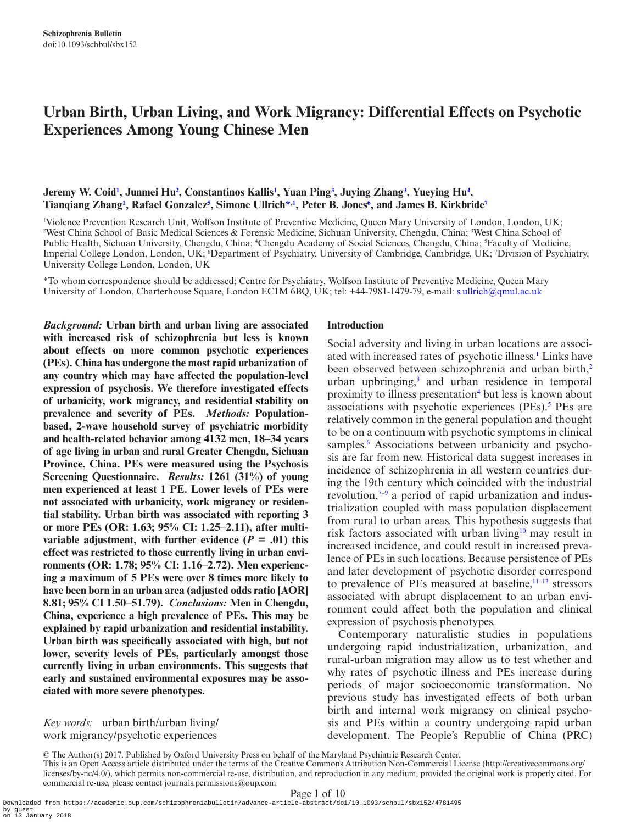# **Urban Birth, Urban Living, and Work Migrancy: Differential Effects on Psychotic Experiences Among Young Chinese Men**

# **Jeremy W. Coi[d1](#page-0-0) , Junmei Hu[2](#page-0-1) , Constantinos Kalli[s1](#page-0-0) , Yuan Ping[3](#page-0-2) , Juying Zhan[g3](#page-0-2) , Yueying Hu[4](#page-0-3) , Tianqiang Zhan[g1](#page-0-0) , Rafael Gonzale[z5](#page-0-4) , Simone Ullric[h\\*](#page-0-5),[1](#page-0-0) , Peter B. Jone[s6](#page-0-6) , and James B. Kirkbrid[e7](#page-0-7)**

<span id="page-0-6"></span><span id="page-0-3"></span><span id="page-0-2"></span><span id="page-0-1"></span><span id="page-0-0"></span>1 Violence Prevention Research Unit, Wolfson Institute of Preventive Medicine, Queen Mary University of London, London, UK; 2 West China School of Basic Medical Sciences & Forensic Medicine, Sichuan University, Chengdu, China; 3 West China School of Public Health, Sichuan University, Chengdu, China; <sup>4</sup>Chengdu Academy of Social Sciences, Chengdu, China; <sup>5</sup>Faculty of Medicine, Imperial College London, London, UK; <sup>6</sup>Department of Psychiatry, University of Cambridge, Cambridge, UK; <sup>7</sup>Division of Psychiatry, University College London, London, UK

<span id="page-0-5"></span>\*To whom correspondence should be addressed; Centre for Psychiatry, Wolfson Institute of Preventive Medicine, Queen Mary University of London, Charterhouse Square, London EC1M 6BQ, UK; tel: +44-7981-1479-79, e-mail: [s.ullrich@qmul.ac.uk](mailto:s.ullrich@qmul.ac.uk?subject=)

*Background:* **Urban birth and urban living are associated with increased risk of schizophrenia but less is known about effects on more common psychotic experiences (PEs). China has undergone the most rapid urbanization of any country which may have affected the population-level expression of psychosis. We therefore investigated effects of urbanicity, work migrancy, and residential stability on prevalence and severity of PEs.** *Methods:* **Populationbased, 2-wave household survey of psychiatric morbidity and health-related behavior among 4132 men, 18–34 years of age living in urban and rural Greater Chengdu, Sichuan Province, China. PEs were measured using the Psychosis Screening Questionnaire.** *Results:* **1261 (31%) of young men experienced at least 1 PE. Lower levels of PEs were not associated with urbanicity, work migrancy or residential stability. Urban birth was associated with reporting 3 or more PEs (OR: 1.63; 95% CI: 1.25–2.11), after multivariable adjustment, with further evidence (** $P = .01$ **) this effect was restricted to those currently living in urban environments (OR: 1.78; 95% CI: 1.16–2.72). Men experiencing a maximum of 5 PEs were over 8 times more likely to have been born in an urban area (adjusted odds ratio [AOR] 8.81; 95% CI 1.50–51.79).** *Conclusions:* **Men in Chengdu, China, experience a high prevalence of PEs. This may be explained by rapid urbanization and residential instability. Urban birth was specifically associated with high, but not lower, severity levels of PEs, particularly amongst those currently living in urban environments. This suggests that early and sustained environmental exposures may be associated with more severe phenotypes.**

# *Key words:* urban birth/urban living/ work migrancy/psychotic experiences

#### <span id="page-0-7"></span><span id="page-0-4"></span>**Introduction**

Social adversity and living in urban locations are associated with increased rates of psychotic illness.<sup>1</sup> Links have been observed between schizophrenia and urban birth,<sup>[2](#page-8-1)</sup> urban upbringing,<sup>[3](#page-8-2)</sup> and urban residence in temporal proximity to illness presentation<sup>[4](#page-8-3)</sup> but less is known about associations with psychotic experiences  $(PEs)$ .<sup>[5](#page-8-4)</sup> PEs are relatively common in the general population and thought to be on a continuum with psychotic symptoms in clinical samples.<sup>6</sup> Associations between urbanicity and psychosis are far from new. Historical data suggest increases in incidence of schizophrenia in all western countries during the 19th century which coincided with the industrial revolution, $7-9$  a period of rapid urbanization and industrialization coupled with mass population displacement from rural to urban areas. This hypothesis suggests that risk factors associated with urban living<sup>10</sup> may result in increased incidence, and could result in increased prevalence of PEs in such locations. Because persistence of PEs and later development of psychotic disorder correspond to prevalence of PEs measured at baseline, $11-13$  stressors associated with abrupt displacement to an urban environment could affect both the population and clinical expression of psychosis phenotypes.

Contemporary naturalistic studies in populations undergoing rapid industrialization, urbanization, and rural-urban migration may allow us to test whether and why rates of psychotic illness and PEs increase during periods of major socioeconomic transformation. No previous study has investigated effects of both urban birth and internal work migrancy on clinical psychosis and PEs within a country undergoing rapid urban development. The People's Republic of China (PRC)

<sup>©</sup> The Author(s) 2017. Published by Oxford University Press on behalf of the Maryland Psychiatric Research Center. This is an Open Access article distributed under the terms of the Creative Commons Attribution Non-Commercial License (http://creativecommons.org/ licenses/by-nc/4.0/), which permits non-commercial re-use, distribution, and reproduction in any medium, provided the original work is properly cited. For commercial re-use, please contact journals.permissions@oup.com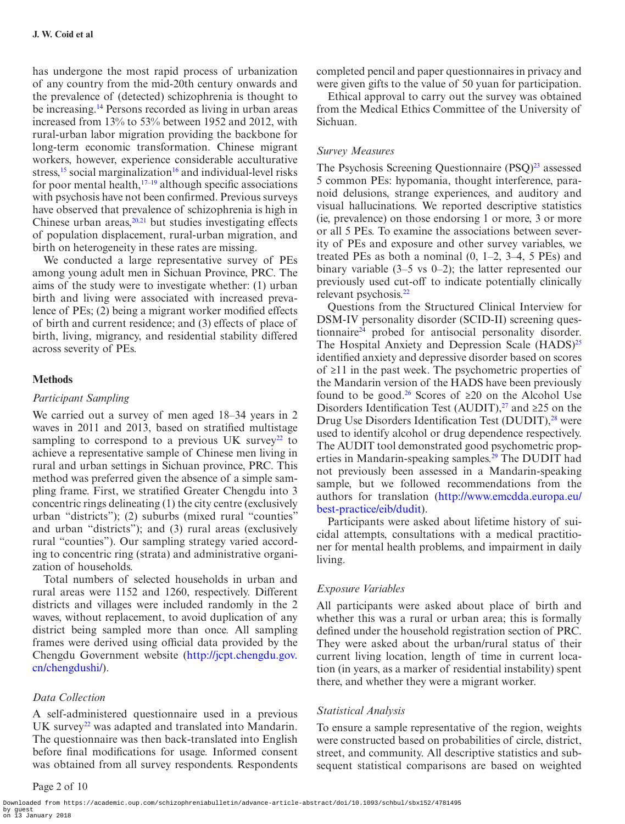has undergone the most rapid process of urbanization of any country from the mid-20th century onwards and the prevalence of (detected) schizophrenia is thought to be increasing.<sup>14</sup> Persons recorded as living in urban areas increased from 13% to 53% between 1952 and 2012, with rural-urban labor migration providing the backbone for long-term economic transformation. Chinese migrant workers, however, experience considerable acculturative stress,<sup>15</sup> social marginalization<sup>16</sup> and individual-level risks for poor mental health, $17-19$  although specific associations with psychosis have not been confirmed. Previous surveys have observed that prevalence of schizophrenia is high in Chinese urban areas, $20,21$  $20,21$  but studies investigating effects of population displacement, rural-urban migration, and birth on heterogeneity in these rates are missing.

We conducted a large representative survey of PEs among young adult men in Sichuan Province, PRC. The aims of the study were to investigate whether: (1) urban birth and living were associated with increased prevalence of PEs; (2) being a migrant worker modified effects of birth and current residence; and (3) effects of place of birth, living, migrancy, and residential stability differed across severity of PEs.

### **Methods**

### *Participant Sampling*

We carried out a survey of men aged 18–34 years in 2 waves in 2011 and 2013, based on stratified multistage sampling to correspond to a previous UK survey<sup>22</sup> to achieve a representative sample of Chinese men living in rural and urban settings in Sichuan province, PRC. This method was preferred given the absence of a simple sampling frame. First, we stratified Greater Chengdu into 3 concentric rings delineating (1) the city centre (exclusively urban "districts"); (2) suburbs (mixed rural "counties" and urban "districts"); and (3) rural areas (exclusively rural "counties"). Our sampling strategy varied according to concentric ring (strata) and administrative organization of households.

Total numbers of selected households in urban and rural areas were 1152 and 1260, respectively. Different districts and villages were included randomly in the 2 waves, without replacement, to avoid duplication of any district being sampled more than once. All sampling frames were derived using official data provided by the Chengdu Government website ([http://jcpt.chengdu.gov.](http://jcpt.chengdu.gov.cn/chengdushi/) [cn/chengdushi/](http://jcpt.chengdu.gov.cn/chengdushi/)).

#### *Data Collection*

A self-administered questionnaire used in a previous UK survey<sup>22</sup> was adapted and translated into Mandarin. The questionnaire was then back-translated into English before final modifications for usage. Informed consent was obtained from all survey respondents. Respondents

completed pencil and paper questionnaires in privacy and were given gifts to the value of 50 yuan for participation.

Ethical approval to carry out the survey was obtained from the Medical Ethics Committee of the University of Sichuan.

#### *Survey Measures*

The Psychosis Screening Questionnaire (PSQ)<sup>23</sup> assessed 5 common PEs: hypomania, thought interference, paranoid delusions, strange experiences, and auditory and visual hallucinations. We reported descriptive statistics (ie, prevalence) on those endorsing 1 or more, 3 or more or all 5 PEs. To examine the associations between severity of PEs and exposure and other survey variables, we treated PEs as both a nominal  $(0, 1-2, 3-4, 5$  PEs) and binary variable (3–5 vs 0–2); the latter represented our previously used cut-off to indicate potentially clinically relevant psychosis.<sup>22</sup>

Questions from the Structured Clinical Interview for DSM-IV personality disorder (SCID-II) screening questionnaire<sup>24</sup> probed for antisocial personality disorder. The Hospital Anxiety and Depression Scale (HADS)<sup>[25](#page-8-18)</sup> identified anxiety and depressive disorder based on scores of ≥11 in the past week. The psychometric properties of the Mandarin version of the HADS have been previously found to be good.<sup>26</sup> Scores of  $\geq 20$  on the Alcohol Use Disorders Identification Test (AUDIT),<sup>[27](#page-8-20)</sup> and ≥25 on the Drug Use Disorders Identification Test (DUDIT),<sup>28</sup> were used to identify alcohol or drug dependence respectively. The AUDIT tool demonstrated good psychometric properties in Mandarin-speaking samples.<sup>29</sup> The DUDIT had not previously been assessed in a Mandarin-speaking sample, but we followed recommendations from the authors for translation ([http://www.emcdda.europa.eu/](http://www.emcdda.europa.eu/best-practice/eib/dudit) [best-practice/eib/dudit](http://www.emcdda.europa.eu/best-practice/eib/dudit)).

Participants were asked about lifetime history of suicidal attempts, consultations with a medical practitioner for mental health problems, and impairment in daily living.

### *Exposure Variables*

All participants were asked about place of birth and whether this was a rural or urban area; this is formally defined under the household registration section of PRC. They were asked about the urban/rural status of their current living location, length of time in current location (in years, as a marker of residential instability) spent there, and whether they were a migrant worker.

#### *Statistical Analysis*

To ensure a sample representative of the region, weights were constructed based on probabilities of circle, district, street, and community. All descriptive statistics and subsequent statistical comparisons are based on weighted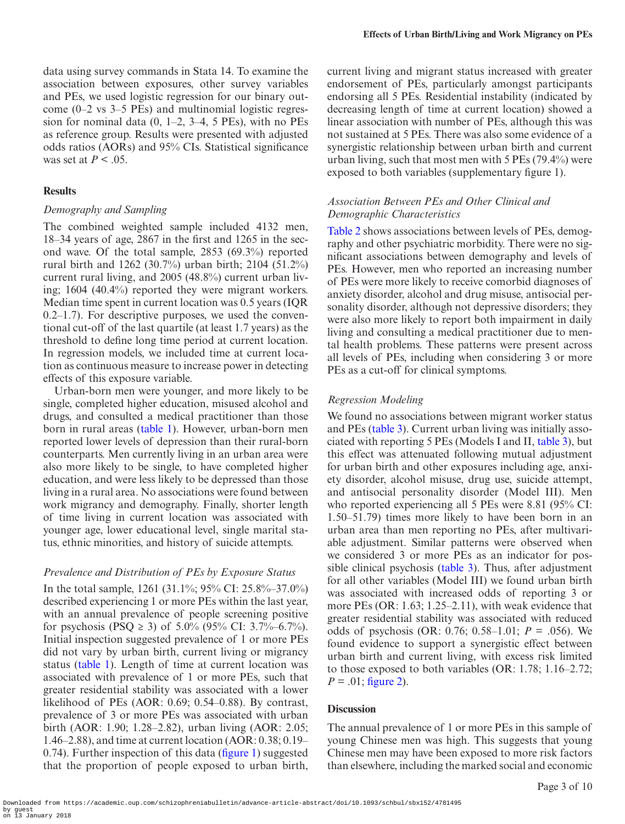# **Results**

### *Demography and Sampling*

The combined weighted sample included 4132 men, 18–34 years of age, 2867 in the first and 1265 in the second wave. Of the total sample, 2853 (69.3%) reported rural birth and 1262 (30.7%) urban birth; 2104 (51.2%) current rural living, and 2005 (48.8%) current urban living; 1604 (40.4%) reported they were migrant workers. Median time spent in current location was 0.5 years (IQR 0.2–1.7). For descriptive purposes, we used the conventional cut-off of the last quartile (at least 1.7 years) as the threshold to define long time period at current location. In regression models, we included time at current location as continuous measure to increase power in detecting effects of this exposure variable.

Urban-born men were younger, and more likely to be single, completed higher education, misused alcohol and drugs, and consulted a medical practitioner than those born in rural areas ([table 1\)](#page-3-0). However, urban-born men reported lower levels of depression than their rural-born counterparts. Men currently living in an urban area were also more likely to be single, to have completed higher education, and were less likely to be depressed than those living in a rural area. No associations were found between work migrancy and demography. Finally, shorter length of time living in current location was associated with younger age, lower educational level, single marital status, ethnic minorities, and history of suicide attempts.

# *Prevalence and Distribution of PEs by Exposure Status*

In the total sample, 1261 (31.1%; 95% CI: 25.8%–37.0%) described experiencing 1 or more PEs within the last year, with an annual prevalence of people screening positive for psychosis (PSQ  $\geq$  3) of 5.0% (95% CI: 3.7%–6.7%). Initial inspection suggested prevalence of 1 or more PEs did not vary by urban birth, current living or migrancy status [\(table 1\)](#page-3-0). Length of time at current location was associated with prevalence of 1 or more PEs, such that greater residential stability was associated with a lower likelihood of PEs (AOR: 0.69; 0.54–0.88). By contrast, prevalence of 3 or more PEs was associated with urban birth (AOR: 1.90; 1.28–2.82), urban living (AOR: 2.05; 1.46–2.88), and time at current location (AOR: 0.38; 0.19– 0.74). Further inspection of this data ([figure 1](#page-4-0)) suggested that the proportion of people exposed to urban birth,

current living and migrant status increased with greater endorsement of PEs, particularly amongst participants endorsing all 5 PEs. Residential instability (indicated by decreasing length of time at current location) showed a linear association with number of PEs, although this was not sustained at 5 PEs. There was also some evidence of a synergistic relationship between urban birth and current urban living, such that most men with 5 PEs (79.4%) were exposed to both variables (supplementary figure 1).

# *Association Between PEs and Other Clinical and Demographic Characteristics*

[Table 2](#page-5-0) shows associations between levels of PEs, demography and other psychiatric morbidity. There were no significant associations between demography and levels of PEs. However, men who reported an increasing number of PEs were more likely to receive comorbid diagnoses of anxiety disorder, alcohol and drug misuse, antisocial personality disorder, although not depressive disorders; they were also more likely to report both impairment in daily living and consulting a medical practitioner due to mental health problems. These patterns were present across all levels of PEs, including when considering 3 or more PEs as a cut-off for clinical symptoms.

# *Regression Modeling*

We found no associations between migrant worker status and PEs ([table 3\)](#page-6-0). Current urban living was initially associated with reporting 5 PEs (Models I and II, [table 3\)](#page-6-0), but this effect was attenuated following mutual adjustment for urban birth and other exposures including age, anxiety disorder, alcohol misuse, drug use, suicide attempt, and antisocial personality disorder (Model III). Men who reported experiencing all 5 PEs were 8.81 (95% CI: 1.50–51.79) times more likely to have been born in an urban area than men reporting no PEs, after multivariable adjustment. Similar patterns were observed when we considered 3 or more PEs as an indicator for possible clinical psychosis [\(table 3\)](#page-6-0). Thus, after adjustment for all other variables (Model III) we found urban birth was associated with increased odds of reporting 3 or more PEs (OR: 1.63; 1.25–2.11), with weak evidence that greater residential stability was associated with reduced odds of psychosis (OR: 0.76; 0.58–1.01;  $P = .056$ ). We found evidence to support a synergistic effect between urban birth and current living, with excess risk limited to those exposed to both variables (OR: 1.78; 1.16–2.72;  $P = .01$ ; [figure 2](#page-6-1)).

# **Discussion**

The annual prevalence of 1 or more PEs in this sample of young Chinese men was high. This suggests that young Chinese men may have been exposed to more risk factors than elsewhere, including the marked social and economic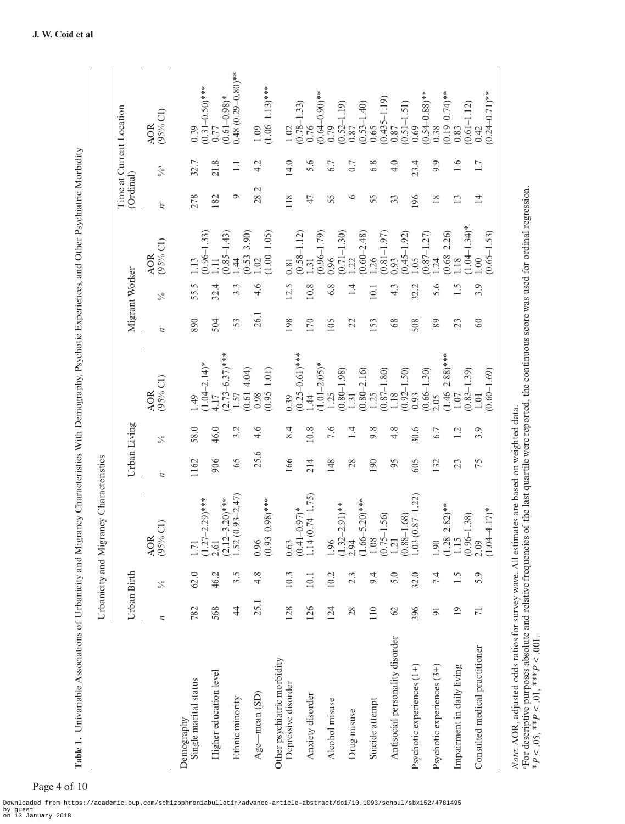|                                                                                                                                                                                                                                                                                          |                 |               | Urbanicity and Migrancy Characteristics                         |                  |                |                                                |                  |                |                                                 |                |                   |                                                 |
|------------------------------------------------------------------------------------------------------------------------------------------------------------------------------------------------------------------------------------------------------------------------------------------|-----------------|---------------|-----------------------------------------------------------------|------------------|----------------|------------------------------------------------|------------------|----------------|-------------------------------------------------|----------------|-------------------|-------------------------------------------------|
|                                                                                                                                                                                                                                                                                          |                 | Urban Birth   |                                                                 |                  | Urban Living   |                                                |                  | Migrant Worker |                                                 | (Ordinal)      |                   | Time at Current Location                        |
|                                                                                                                                                                                                                                                                                          | z               | $\frac{5}{6}$ | $\widehat{\sigma}$<br><b>AOR</b><br>(95%                        | $\overline{\mu}$ | $\frac{5}{6}$  | (95% CI)<br><b>AOR</b>                         | $\overline{\mu}$ | $\frac{5}{6}$  | $(95%$ CI)<br><b>AOR</b>                        | $n^{\rm a}$    | $\%$ <sup>a</sup> | $(95%$ CI)<br><b>AOR</b>                        |
| Single marital status<br>Demography                                                                                                                                                                                                                                                      | 782             | 62.0          | 1.71                                                            | 1162             | 58.0           | 1.49                                           | 890              | 55.5           | 1.13                                            | 278            | 32.7              | 0.39                                            |
| Higher education level                                                                                                                                                                                                                                                                   | 568             | 46.2          | $-2.29$ <sup>***</sup><br>$(1.27 -$<br>2.61                     | 906              | 46.0           | $(1.04 - 2.14)^*$<br>4.17                      | 504              | 32.4           | $(0.96 - 1.33)$<br>$\Xi$                        | 182            | 21.8              | $(0.31 - 0.50)*$<br>0.77                        |
| Ethnic minority                                                                                                                                                                                                                                                                          | $\ddot{4}$      | 3.5           | $(0.93 - 2.47)$<br>$-3.20$ <sup>***</sup><br>$(2.12 -$<br>1.52( | 65               | 3.2            | $(2.73 - 6.37)$ ***<br>1.57                    | 53               | 3.3            | $(0.85 - 1.43)$<br>$\dot{4}$                    | $\circ$        | $\Box$            | $0.48(0.29 - 0.80)$ **<br>$(0.61 - 0.98)$ *     |
| $Age$ —mean $(SD)$                                                                                                                                                                                                                                                                       | 25.1            | 4.8           | $(0.93 - 0.98)$ ***<br>0.96                                     | 25.6             | 4.6            | $(0.61 - 4.04)$<br>$(0.95 - 1.01)$<br>0.98     | 26.1             | 4.6            | $(0.53 - 3.90)$<br>$(1.00 - 1.05)$<br>02        | 28.2           | 4.2               | $(1.06 - 1.13)$ ***<br>1.09                     |
| Other psychiatric morbidity<br>Depressive disorder                                                                                                                                                                                                                                       | 128             | 10.3          | 0.63                                                            | 166              | 8.4            | 0.39                                           | 198              | 12.5           | 0.81                                            | 118            | 14.0              | 1.02                                            |
| Anxiety disorder                                                                                                                                                                                                                                                                         | 126             | 10.1          | $-0.97$ )*<br>(0.74–1.75)<br>$(0.41 -$<br>1.14(                 | 214              | 10.8           | $(0.25 - 0.61)$ ***<br>$\frac{4}{4}$           | 170              | 10.8           | $(0.58 - 1.12)$<br>$\overline{.31}$             | 47             | 5.6               | $\frac{(0.78-1.33)}{0.76}$                      |
| Alcohol misuse                                                                                                                                                                                                                                                                           | 124             | 10.2          | 1.96                                                            | 148              | 7.6            | $(1.01 - 2.05)*$<br>1.25                       | 105              | 6.8            | $\frac{(0.96 - 1.79)}{0.96}$                    | 55             | 6.7               | $(0.64 - 0.90)**$<br>0.79<br>$(0.52 - 1.19)$    |
| Drug misuse                                                                                                                                                                                                                                                                              | 28              | 2.3           | $2.91$ <sup>**</sup><br>$(1.32 -$<br>2.94                       | 28               | $\overline{4}$ | $(0.80 - 1.98)$<br>1.31                        | 22               | 1.4            | $(0.71 - 1.30)$<br>$\overline{22}$              | $\circ$        | 0.7               | 0.87                                            |
| Suicide attempt                                                                                                                                                                                                                                                                          | 110             | 9.4           | $-5.20$ )***<br>$(1.66 - 1.08)$                                 | 190              | 9.8            | $(0.80 - 2.16)$<br>1.25                        | 153              | 10.1           | $(0.60-2.48)$<br>1.26                           | 55             | 6.8               | $(0.53-1.40)$<br>0.65                           |
| Antisocial personality disorder                                                                                                                                                                                                                                                          | $\mathcal{O}$   | 5.0           | $(0.75 - 1.56)$<br>1.21                                         | 95               | 4.8            | $(0.87 - 1.80)$<br>$(0.92 - 1.50)$<br>1.18     | 68               | 4.3            | $(0.81 - 1.97)$<br>0.93                         | 33             | 4.0               | $(0.435 - 1.19)$<br>0.87                        |
| Psychotic experiences (1+)                                                                                                                                                                                                                                                               | 396             | 32.0          | $1.03(0.87 - 1.22)$<br>$(0.88 - 1.68)$                          | 605              | 30.6           | 0.93                                           | 508              | 32.2           | $(0.87 - 1.27)$<br>$(0.45 - 1.92)$<br>0.05      | 196            | 23.4              | $(0.51 - 1.51)$<br>0.69                         |
| Psychotic experiences (3+)                                                                                                                                                                                                                                                               | $\overline{5}$  | 7.4           | $-2.82$ <sup>**</sup><br>$(1.28 -$<br>1.90                      | 132              | 6.7            | $(1.46 - 2.88)$ ***<br>$(0.66 - 1.30)$<br>2.05 | 89               | 5.6            | $(0.68 - 2.26)$<br>$\frac{124}{ }$              | $\frac{8}{18}$ | 9.9               | $(0.54 - 0.88)**$<br>0.38<br>$(0.19 - 0.74)$ ** |
| Impairment in daily living                                                                                                                                                                                                                                                               | $\overline{19}$ | $\frac{1}{2}$ | 1.15                                                            | 23               | 1.2            | 1.07                                           | 23               | 1.5            | 18                                              | 13             | 1.6               | $(0.61 - 1.12)$<br>0.83                         |
| Consulted medical practitioner                                                                                                                                                                                                                                                           | $\overline{71}$ | 5.9           | $-4.17$ <sup>*</sup><br>$(0.96 - 1.38)$<br>(1.04<br>2.09        | 75               | 3.9            | $(0.83 - 1.39)$<br>$0.60 - 1.69$<br>1.01       | $\infty$         | 3.9            | $(1.04 - 1.34)^*$<br>$(0.65 - 1.53)$<br>$\odot$ | $\overline{4}$ | 1.7               | $(0.24 - 0.71)$ **<br>0.42                      |
| ⊕For descriptive purposes absolute and relative frequencies of the last quartile were reported, the continuous score was used for ordinal regression.<br>*P < .05, **P < .01, ***P < .001.<br>Note: AOR, adjusted odds ratios for survey wave. All estimates are based on weighted data. |                 |               |                                                                 |                  |                |                                                |                  |                |                                                 |                |                   |                                                 |

Table 1. Univariable Associations of Urbanicity and Migrancy Characteristics With Demography, Psychotic Experiences, and Other Psychiatric Morbidity **Table 1.** Univariable Associations of Urbanicity and Migrancy Characteristics With Demography, Psychotic Experiences, and Other Psychiatric Morbidity

<span id="page-3-0"></span>Page 4 of 10

Downloaded from https://academic.oup.com/schizophreniabulletin/advance-article-abstract/doi/10.1093/schbul/sbx152/4781495 by guest on 13 January 2018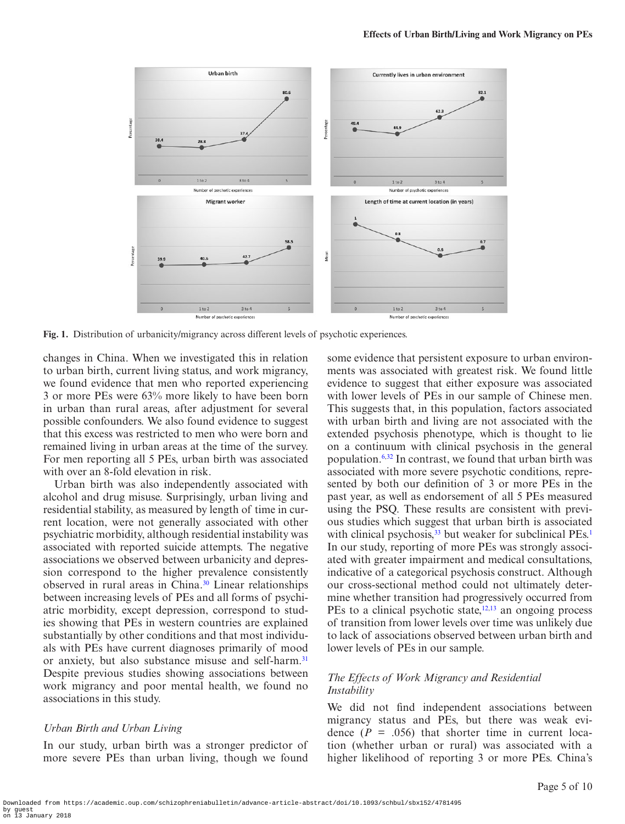

**Fig. 1.** Distribution of urbanicity/migrancy across different levels of psychotic experiences.

changes in China. When we investigated this in relation to urban birth, current living status, and work migrancy, we found evidence that men who reported experiencing 3 or more PEs were 63% more likely to have been born in urban than rural areas, after adjustment for several possible confounders. We also found evidence to suggest that this excess was restricted to men who were born and remained living in urban areas at the time of the survey. For men reporting all 5 PEs, urban birth was associated with over an 8-fold elevation in risk.

Urban birth was also independently associated with alcohol and drug misuse. Surprisingly, urban living and residential stability, as measured by length of time in current location, were not generally associated with other psychiatric morbidity, although residential instability was associated with reported suicide attempts. The negative associations we observed between urbanicity and depression correspond to the higher prevalence consistently observed in rural areas in China.<sup>30</sup> Linear relationships between increasing levels of PEs and all forms of psychiatric morbidity, except depression, correspond to studies showing that PEs in western countries are explained substantially by other conditions and that most individuals with PEs have current diagnoses primarily of mood or anxiety, but also substance misuse and self-harm.<sup>[31](#page-8-24)</sup> Despite previous studies showing associations between work migrancy and poor mental health, we found no associations in this study.

#### *Urban Birth and Urban Living*

In our study, urban birth was a stronger predictor of more severe PEs than urban living, though we found <span id="page-4-0"></span>some evidence that persistent exposure to urban environments was associated with greatest risk. We found little evidence to suggest that either exposure was associated with lower levels of PEs in our sample of Chinese men. This suggests that, in this population, factors associated with urban birth and living are not associated with the extended psychosis phenotype, which is thought to lie on a continuum with clinical psychosis in the general population.[6](#page-8-5)[,32](#page-9-0) In contrast, we found that urban birth was associated with more severe psychotic conditions, represented by both our definition of 3 or more PEs in the past year, as well as endorsement of all 5 PEs measured using the PSQ. These results are consistent with previous studies which suggest that urban birth is associated with clinical psychosis,  $33$  but weaker for subclinical PEs.<sup>[1](#page-8-0)</sup> In our study, reporting of more PEs was strongly associated with greater impairment and medical consultations, indicative of a categorical psychosis construct. Although our cross-sectional method could not ultimately determine whether transition had progressively occurred from PEs to a clinical psychotic state, $12,13$  $12,13$  an ongoing process of transition from lower levels over time was unlikely due to lack of associations observed between urban birth and lower levels of PEs in our sample.

### *The Effects of Work Migrancy and Residential Instability*

We did not find independent associations between migrancy status and PEs, but there was weak evidence  $(P = .056)$  that shorter time in current location (whether urban or rural) was associated with a higher likelihood of reporting 3 or more PEs. China's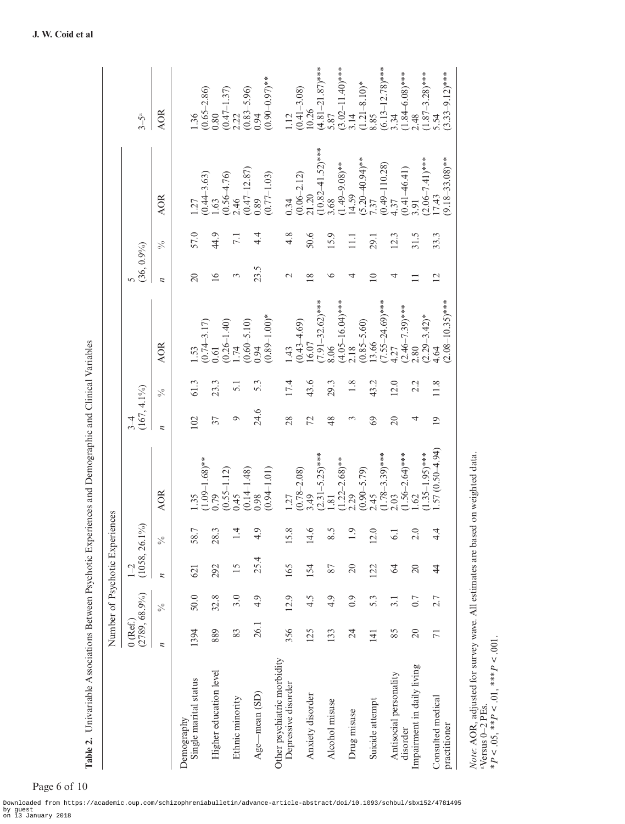|                                                                                                                                                        |                            |      | Number of Psychotic Experiences |                           |                              |                      |                 |                                                            |                |                  |                              |                                 |
|--------------------------------------------------------------------------------------------------------------------------------------------------------|----------------------------|------|---------------------------------|---------------------------|------------------------------|----------------------|-----------------|------------------------------------------------------------|----------------|------------------|------------------------------|---------------------------------|
|                                                                                                                                                        | $(2789, 68.9\%)$<br>0(Ref) |      | $(1058, 26.1\%)$<br>$1 - 2$     |                           |                              | $(167, 4.1\%)$<br>34 |                 |                                                            | $(36, 0.9\%)$  |                  |                              | $3-5^a$                         |
|                                                                                                                                                        | $\overline{\mu}$           | $\%$ | $\overline{\mu}$                | $\frac{6}{6}$             | <b>AOR</b>                   | $\overline{\mu}$     | $\%$            | <b>AOR</b>                                                 | z              | $\frac{5}{6}$    | <b>AOR</b>                   | <b>AOR</b>                      |
| Demography                                                                                                                                             |                            |      |                                 |                           |                              |                      |                 |                                                            |                |                  |                              |                                 |
| Single marital status                                                                                                                                  | 1394                       | 50.0 | $\overline{2}$                  | 58.7                      | $\cdot$ 35                   | 102                  | 61.3            | 1.53                                                       | $\overline{c}$ | 57.0             | 127                          | 1.36                            |
| Higher education level                                                                                                                                 | 889                        | 32.8 | 292                             | 28.3                      | $(1.09-1.68)**$<br>0.79      | 37                   | 23.3            | $\begin{array}{c} (0.74\text{--}3.17) \\ 0.61 \end{array}$ | $\geq$         | 44.9             | $(0.44 - 3.63)$<br>1.63      | $\frac{(0.65-2.86)}{0.80}$      |
|                                                                                                                                                        |                            |      |                                 |                           | $(0.55 - 1.12)$              |                      |                 |                                                            |                |                  | $\frac{(0.56 - 4.76)}{2.46}$ | $\frac{(0.47-1.37)}{2.22}$      |
| Ethnic minority                                                                                                                                        | 83                         | 3.0  | 15                              | 4                         | 0.45                         | $\circ$              | $\overline{51}$ |                                                            | $\mathfrak{g}$ | $\overline{7.1}$ |                              |                                 |
|                                                                                                                                                        | 26.1                       | 4.9  | 25.4                            | 4.9                       | $(0.14 - 1.48)$<br>0.98      | 24.6                 | 5.3             | $(0.26-1.40)$<br>$1.74$<br>$(0.60-5.10)$<br>$0.94$         | 23.5           | 4.4              | $(0.47 - 12.87)$<br>0.89     | $\frac{(0.83 - 5.96)}{0.94}$    |
| $Age$ —mean (SD)                                                                                                                                       |                            |      |                                 |                           | $(0.94 - 1.01)$              |                      |                 | $(0.89 - 1.00)$ *                                          |                |                  | $(0.77 - 1.03)$              | $(0.90 - 0.97)$ **              |
| Other psychiatric morbidity                                                                                                                            |                            |      |                                 |                           |                              |                      |                 |                                                            |                |                  |                              |                                 |
| Depressive disorder                                                                                                                                    | 356                        | 12.9 | 165                             | $\infty$<br><u>15</u>     | 1.27                         | 28                   | 17.4            | 1.43                                                       | $\mathcal{L}$  | 4.8              | 0.34                         | 1.12                            |
|                                                                                                                                                        |                            |      |                                 |                           | $(0.78 - 2.08)$<br>3.49      |                      |                 | $(0.43 - 4.69)$<br>16.07                                   |                |                  | $\frac{(0.06-2.12)}{21.20}$  | $(0.41 - 3.08)$<br>10.26        |
| Anxiety disorder                                                                                                                                       | 125                        | 4.5  | 154                             | $\circ$<br>$\overline{4}$ |                              | 72                   | 43.6            |                                                            | 18             | 50.6             |                              |                                 |
|                                                                                                                                                        |                            |      |                                 |                           | $(2.31 - 5.25)$ ***          |                      |                 | $7.91 - 32.62$ <sup>***</sup>                              |                |                  | $(10.82 - 41.52)$ ***        | $(4.81-21.87)***$<br>5.87       |
| Alcohol misuse                                                                                                                                         | 133                        | 4.9  | 87                              | 5<br>$\infty$             | $\overline{81}$              | 48                   | 29.3            | 8.06                                                       | ৩              | 15.9             | 3.68                         |                                 |
|                                                                                                                                                        |                            |      |                                 |                           | $(1.22 - 2.68)$ **           |                      |                 | $(4.05-16.04)***$<br>2.18                                  |                |                  | $(1.49 - 9.08)$ **           | $(3.02 - 11.40)$ ***            |
| Drug misuse                                                                                                                                            | 24                         | 0.9  | $\Omega$                        | Q                         | 2.29                         | 3                    | 1.8             |                                                            | 4              | $\Xi$            | 14.59                        | 3.14                            |
| Suicide attempt                                                                                                                                        | $\overline{141}$           | 5.3  | 122                             | 12.0                      | $(0.90 - 5.79)$<br>2.45      | $\Im$                | 43.2            | $(0.85 - 5.60)$<br>13.66                                   | $\supseteq$    | 29.1             | $(5.20-40.94)$ **<br>7.37    | $(1.21 - 8.10)*$<br>8.85        |
|                                                                                                                                                        |                            |      |                                 |                           | $(1.78 - 3.39)$ ***          |                      |                 | $7.55 - 24.69$ <sup>***</sup>                              |                |                  | $(0.49-110.28)$<br>4.37      | $(6.13 - 12.78)$ ***            |
| Antisocial personality                                                                                                                                 | 85                         | 3.1  | $\mathcal{Z}$                   | ن<br>پ                    | :.03                         | $\overline{c}$       | 12.0            | 1.27                                                       | 4              | 12.3             |                              | 3.34                            |
| disorder                                                                                                                                               |                            |      |                                 |                           | $1.56 - 2.64$ <sup>***</sup> |                      |                 | $(2.46 - 7.39)$ ***                                        |                |                  | $(0.41 - 46.41)$<br>3.91     | $\frac{(1.84 - 6.08)***}{2.48}$ |
| Impairment in daily living                                                                                                                             | $\Omega$                   | 0.7  | $\overline{c}$                  | 2.0                       | <b>S</b>                     | 4                    | 2.2             | .80                                                        | $\equiv$       | 31.5             |                              |                                 |
|                                                                                                                                                        |                            |      |                                 |                           | $1.35 - 1.95$ <sup>***</sup> |                      |                 | $(2.29 - 3.42)$ *                                          |                |                  | $(2.06 - 7.41)$ ***          | $(1.87-3.28)***$<br>5.54        |
| Consulted medical                                                                                                                                      | π                          | 2.7  | $\frac{4}{3}$                   | 4<br>4.                   | $.57(0.50 - 4.94)$           | $\overline{0}$       | 11.8            | 4.64                                                       | $\overline{2}$ | 33.3             | 17.43                        |                                 |
| practitioner                                                                                                                                           |                            |      |                                 |                           |                              |                      |                 | $(2.08 - 10.35)$ ***                                       |                |                  | $(9.18 - 33.08)$ **          | $(3.33 - 9.12)$ ***             |
| Note: AOR, adjusted for survey wave. All estimates are based on weighted data.<br>$*P < 0.05, **P < 0.01, **P < 0.001$<br><sup>a</sup> Versus 0-2 PEs. |                            |      |                                 |                           |                              |                      |                 |                                                            |                |                  |                              |                                 |

Table 2. Univariable Associations Between Psychotic Experiences and Demographic and Clinical Variables **Table 2.** Univariable Associations Between Psychotic Experiences and Demographic and Clinical Variables

<span id="page-5-0"></span>Page 6 of 10

Downloaded from https://academic.oup.com/schizophreniabulletin/advance-article-abstract/doi/10.1093/schbul/sbx152/4781495 by guest on 13 January 2018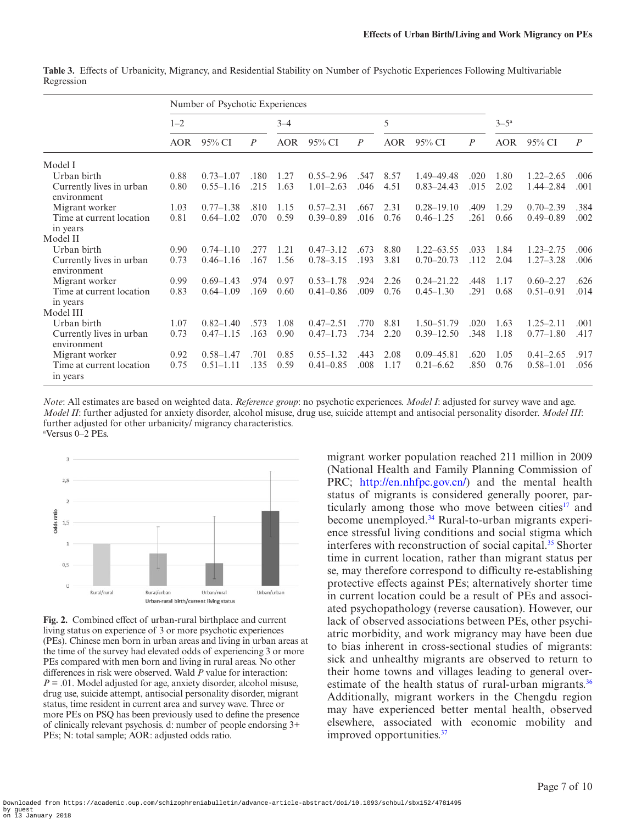|                                         | Number of Psychotic Experiences |               |                  |            |               |                |            |                |                  |            |               |                  |
|-----------------------------------------|---------------------------------|---------------|------------------|------------|---------------|----------------|------------|----------------|------------------|------------|---------------|------------------|
|                                         | $1 - 2$                         |               |                  | $3 - 4$    |               |                | 5          |                |                  | $3-5^a$    |               |                  |
|                                         | <b>AOR</b>                      | 95% CI        | $\boldsymbol{P}$ | <b>AOR</b> | 95% CI        | $\overline{P}$ | <b>AOR</b> | 95% CI         | $\boldsymbol{P}$ | <b>AOR</b> | 95% CI        | $\boldsymbol{P}$ |
| Model I                                 |                                 |               |                  |            |               |                |            |                |                  |            |               |                  |
| Urban birth                             | 0.88                            | $0.73 - 1.07$ | .180             | 1.27       | $0.55 - 2.96$ | .547           | 8.57       | 1.49 - 49.48   | .020             | 1.80       | $1.22 - 2.65$ | .006             |
| Currently lives in urban<br>environment | 0.80                            | $0.55 - 1.16$ | .215             | 1.63       | $1.01 - 2.63$ | .046           | 4.51       | $0.83 - 24.43$ | .015             | 2.02       | $1.44 - 2.84$ | .001             |
| Migrant worker                          | 1.03                            | $0.77 - 1.38$ | .810             | 1.15       | $0.57 - 2.31$ | .667           | 2.31       | $0.28 - 19.10$ | .409             | 1.29       | $0.70 - 2.39$ | .384             |
| Time at current location<br>in years    | 0.81                            | $0.64 - 1.02$ | .070             | 0.59       | $0.39 - 0.89$ | .016           | 0.76       | $0.46 - 1.25$  | .261             | 0.66       | $0.49 - 0.89$ | .002             |
| Model II                                |                                 |               |                  |            |               |                |            |                |                  |            |               |                  |
| Urban birth                             | 0.90                            | $0.74 - 1.10$ | .277             | 1.21       | $0.47 - 3.12$ | .673           | 8.80       | $1.22 - 63.55$ | .033             | 1.84       | $1.23 - 2.75$ | .006             |
| Currently lives in urban<br>environment | 0.73                            | $0.46 - 1.16$ | .167             | 1.56       | $0.78 - 3.15$ | .193           | 3.81       | $0.70 - 20.73$ | .112             | 2.04       | $1.27 - 3.28$ | .006             |
| Migrant worker                          | 0.99                            | $0.69 - 1.43$ | .974             | 0.97       | $0.53 - 1.78$ | .924           | 2.26       | $0.24 - 21.22$ | .448             | 1.17       | $0.60 - 2.27$ | .626             |
| Time at current location<br>in years    | 0.83                            | $0.64 - 1.09$ | .169             | 0.60       | $0.41 - 0.86$ | .009           | 0.76       | $0.45 - 1.30$  | .291             | 0.68       | $0.51 - 0.91$ | .014             |
| Model III                               |                                 |               |                  |            |               |                |            |                |                  |            |               |                  |
| Urban birth                             | 1.07                            | $0.82 - 1.40$ | .573             | 1.08       | $0.47 - 2.51$ | .770           | 8.81       | $1.50 - 51.79$ | .020             | 1.63       | $1.25 - 2.11$ | .001             |
| Currently lives in urban<br>environment | 0.73                            | $0.47 - 1.15$ | .163             | 0.90       | $0.47 - 1.73$ | .734           | 2.20       | $0.39 - 12.50$ | .348             | 1.18       | $0.77 - 1.80$ | .417             |
| Migrant worker                          | 0.92                            | $0.58 - 1.47$ | .701             | 0.85       | $0.55 - 1.32$ | .443           | 2.08       | $0.09 - 45.81$ | .620             | 1.05       | $0.41 - 2.65$ | .917             |
| Time at current location<br>in years    | 0.75                            | $0.51 - 1.11$ | .135             | 0.59       | $0.41 - 0.85$ | .008           | 1.17       | $0.21 - 6.62$  | .850             | 0.76       | $0.58 - 1.01$ | .056             |

<span id="page-6-0"></span>**Table 3.** Effects of Urbanicity, Migrancy, and Residential Stability on Number of Psychotic Experiences Following Multivariable Regression

*Note*: All estimates are based on weighted data. *Reference group*: no psychotic experiences. *Model I*: adjusted for survey wave and age. *Model II*: further adjusted for anxiety disorder, alcohol misuse, drug use, suicide attempt and antisocial personality disorder. *Model III*: further adjusted for other urbanicity/ migrancy characteristics. a Versus 0–2 PEs.



<span id="page-6-1"></span>**Fig. 2.** Combined effect of urban-rural birthplace and current living status on experience of 3 or more psychotic experiences (PEs). Chinese men born in urban areas and living in urban areas at the time of the survey had elevated odds of experiencing 3 or more PEs compared with men born and living in rural areas. No other differences in risk were observed. Wald *P* value for interaction: *P* = .01. Model adjusted for age, anxiety disorder, alcohol misuse, drug use, suicide attempt, antisocial personality disorder, migrant status, time resident in current area and survey wave. Three or more PEs on PSQ has been previously used to define the presence of clinically relevant psychosis. d: number of people endorsing 3+ PEs; N: total sample; AOR: adjusted odds ratio.

migrant worker population reached 211 million in 2009 (National Health and Family Planning Commission of PRC; <http://en.nhfpc.gov.cn/>) and the mental health status of migrants is considered generally poorer, par-ticularly among those who move between cities<sup>[17](#page-8-12)</sup> and become unemployed.[34](#page-9-2) Rural-to-urban migrants experience stressful living conditions and social stigma which interferes with reconstruction of social capital.<sup>35</sup> Shorter time in current location, rather than migrant status per se, may therefore correspond to difficulty re-establishing protective effects against PEs; alternatively shorter time in current location could be a result of PEs and associated psychopathology (reverse causation). However, our lack of observed associations between PEs, other psychiatric morbidity, and work migrancy may have been due to bias inherent in cross-sectional studies of migrants: sick and unhealthy migrants are observed to return to their home towns and villages leading to general overestimate of the health status of rural-urban migrants. $36$ Additionally, migrant workers in the Chengdu region may have experienced better mental health, observed elsewhere, associated with economic mobility and improved opportunities[.37](#page-9-5)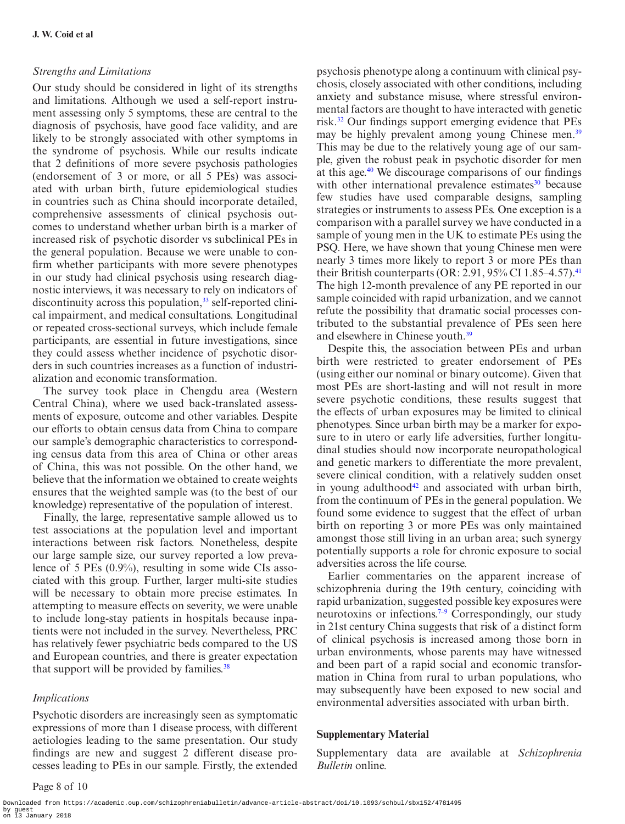#### *Strengths and Limitations*

Our study should be considered in light of its strengths and limitations. Although we used a self-report instrument assessing only 5 symptoms, these are central to the diagnosis of psychosis, have good face validity, and are likely to be strongly associated with other symptoms in the syndrome of psychosis. While our results indicate that 2 definitions of more severe psychosis pathologies (endorsement of 3 or more, or all 5 PEs) was associated with urban birth, future epidemiological studies in countries such as China should incorporate detailed, comprehensive assessments of clinical psychosis outcomes to understand whether urban birth is a marker of increased risk of psychotic disorder vs subclinical PEs in the general population. Because we were unable to confirm whether participants with more severe phenotypes in our study had clinical psychosis using research diagnostic interviews, it was necessary to rely on indicators of discontinuity across this population,  $33$  self-reported clinical impairment, and medical consultations. Longitudinal or repeated cross-sectional surveys, which include female participants, are essential in future investigations, since they could assess whether incidence of psychotic disorders in such countries increases as a function of industrialization and economic transformation.

The survey took place in Chengdu area (Western Central China), where we used back-translated assessments of exposure, outcome and other variables. Despite our efforts to obtain census data from China to compare our sample's demographic characteristics to corresponding census data from this area of China or other areas of China, this was not possible. On the other hand, we believe that the information we obtained to create weights ensures that the weighted sample was (to the best of our knowledge) representative of the population of interest.

Finally, the large, representative sample allowed us to test associations at the population level and important interactions between risk factors. Nonetheless, despite our large sample size, our survey reported a low prevalence of 5 PEs (0.9%), resulting in some wide CIs associated with this group. Further, larger multi-site studies will be necessary to obtain more precise estimates. In attempting to measure effects on severity, we were unable to include long-stay patients in hospitals because inpatients were not included in the survey. Nevertheless, PRC has relatively fewer psychiatric beds compared to the US and European countries, and there is greater expectation that support will be provided by families.<sup>38</sup>

#### *Implications*

Psychotic disorders are increasingly seen as symptomatic expressions of more than 1 disease process, with different aetiologies leading to the same presentation. Our study findings are new and suggest 2 different disease processes leading to PEs in our sample. Firstly, the extended

psychosis phenotype along a continuum with clinical psychosis, closely associated with other conditions, including anxiety and substance misuse, where stressful environmental factors are thought to have interacted with genetic risk[.32](#page-9-0) Our findings support emerging evidence that PEs may be highly prevalent among young Chinese men.<sup>[39](#page-9-7)</sup> This may be due to the relatively young age of our sample, given the robust peak in psychotic disorder for men at this age.[40](#page-9-8) We discourage comparisons of our findings with other international prevalence estimates<sup>30</sup> because few studies have used comparable designs, sampling strategies or instruments to assess PEs. One exception is a comparison with a parallel survey we have conducted in a sample of young men in the UK to estimate PEs using the PSQ. Here, we have shown that young Chinese men were nearly 3 times more likely to report 3 or more PEs than their British counterparts (OR: 2.91, 95% CI 1.85–4.57).<sup>[41](#page-9-9)</sup> The high 12-month prevalence of any PE reported in our sample coincided with rapid urbanization, and we cannot refute the possibility that dramatic social processes contributed to the substantial prevalence of PEs seen here and elsewhere in Chinese youth.<sup>[39](#page-9-7)</sup>

Despite this, the association between PEs and urban birth were restricted to greater endorsement of PEs (using either our nominal or binary outcome). Given that most PEs are short-lasting and will not result in more severe psychotic conditions, these results suggest that the effects of urban exposures may be limited to clinical phenotypes. Since urban birth may be a marker for exposure to in utero or early life adversities, further longitudinal studies should now incorporate neuropathological and genetic markers to differentiate the more prevalent, severe clinical condition, with a relatively sudden onset in young adulthood<sup>[42](#page-9-10)</sup> and associated with urban birth, from the continuum of PEs in the general population. We found some evidence to suggest that the effect of urban birth on reporting 3 or more PEs was only maintained amongst those still living in an urban area; such synergy potentially supports a role for chronic exposure to social adversities across the life course.

Earlier commentaries on the apparent increase of schizophrenia during the 19th century, coinciding with rapid urbanization, suggested possible key exposures were neurotoxins or infections[.7–9](#page-8-6) Correspondingly, our study in 21st century China suggests that risk of a distinct form of clinical psychosis is increased among those born in urban environments, whose parents may have witnessed and been part of a rapid social and economic transformation in China from rural to urban populations, who may subsequently have been exposed to new social and environmental adversities associated with urban birth.

#### **Supplementary Material**

Supplementary data are available at *Schizophrenia Bulletin* online.

Downloaded from https://academic.oup.com/schizophreniabulletin/advance-article-abstract/doi/10.1093/schbul/sbx152/4781495 by guest on 13 January 2018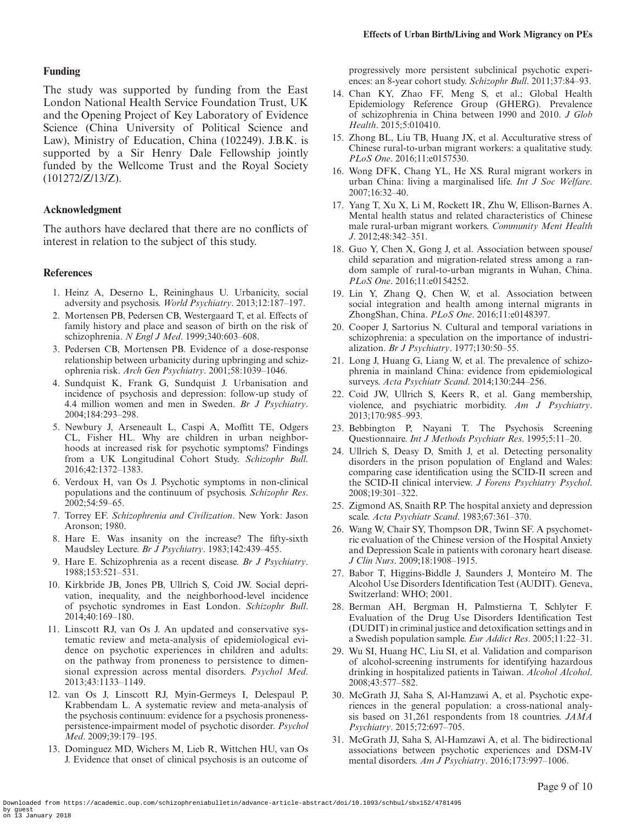#### **Funding**

The study was supported by funding from the East London National Health Service Foundation Trust, UK and the Opening Project of Key Laboratory of Evidence Science (China University of Political Science and Law), Ministry of Education, China (102249). J.B.K. is supported by a Sir Henry Dale Fellowship jointly funded by the Wellcome Trust and the Royal Society (101272/Z/13/Z).

#### **Acknowledgment**

The authors have declared that there are no conflicts of interest in relation to the subject of this study.

#### **References**

- <span id="page-8-0"></span>1. Heinz A, Deserno L, Reininghaus U. Urbanicity, social adversity and psychosis. *World Psychiatry*. 2013;12:187–197.
- <span id="page-8-1"></span>2. Mortensen PB, Pedersen CB, Westergaard T, et al. Effects of family history and place and season of birth on the risk of schizophrenia. *N Engl J Med*. 1999;340:603–608.
- <span id="page-8-2"></span>3. Pedersen CB, Mortensen PB. Evidence of a dose-response relationship between urbanicity during upbringing and schizophrenia risk. *Arch Gen Psychiatry*. 2001;58:1039–1046.
- <span id="page-8-3"></span>4. Sundquist K, Frank G, Sundquist J. Urbanisation and incidence of psychosis and depression: follow-up study of 4.4 million women and men in Sweden. *Br J Psychiatry*. 2004;184:293–298.
- <span id="page-8-4"></span>5. Newbury J, Arseneault L, Caspi A, Moffitt TE, Odgers CL, Fisher HL. Why are children in urban neighborhoods at increased risk for psychotic symptoms? Findings from a UK Longitudinal Cohort Study. *Schizophr Bull*. 2016;42:1372–1383.
- <span id="page-8-5"></span>6. Verdoux H, van Os J. Psychotic symptoms in non-clinical populations and the continuum of psychosis. *Schizophr Res*. 2002;54:59–65.
- <span id="page-8-6"></span>7. Torrey EF. *Schizophrenia and Civilization*. New York: Jason Aronson; 1980.
- 8. Hare E. Was insanity on the increase? The fifty-sixth Maudsley Lecture. *Br J Psychiatry*. 1983;142:439–455.
- 9. Hare E. Schizophrenia as a recent disease. *Br J Psychiatry*. 1988;153:521–531.
- <span id="page-8-7"></span>10. Kirkbride JB, Jones PB, Ullrich S, Coid JW. Social deprivation, inequality, and the neighborhood-level incidence of psychotic syndromes in East London. *Schizophr Bull*. 2014;40:169–180.
- <span id="page-8-8"></span>11. Linscott RJ, van Os J. An updated and conservative systematic review and meta-analysis of epidemiological evidence on psychotic experiences in children and adults: on the pathway from proneness to persistence to dimensional expression across mental disorders. *Psychol Med*. 2013;43:1133–1149.
- <span id="page-8-25"></span>12. van Os J, Linscott RJ, Myin-Germeys I, Delespaul P, Krabbendam L. A systematic review and meta-analysis of the psychosis continuum: evidence for a psychosis pronenesspersistence-impairment model of psychotic disorder. *Psychol Med*. 2009;39:179–195.
- <span id="page-8-26"></span>13. Dominguez MD, Wichers M, Lieb R, Wittchen HU, van Os J. Evidence that onset of clinical psychosis is an outcome of

progressively more persistent subclinical psychotic experiences: an 8-year cohort study. *Schizophr Bull*. 2011;37:84–93.

- <span id="page-8-9"></span>14. Chan KY, Zhao FF, Meng S, et al.; Global Health Epidemiology Reference Group (GHERG). Prevalence of schizophrenia in China between 1990 and 2010. *J Glob Health*. 2015;5:010410.
- <span id="page-8-10"></span>15. Zhong BL, Liu TB, Huang JX, et al. Acculturative stress of Chinese rural-to-urban migrant workers: a qualitative study. *PLoS One*. 2016;11:e0157530.
- <span id="page-8-11"></span>16. Wong DFK, Chang YL, He XS. Rural migrant workers in urban China: living a marginalised life. *Int J Soc Welfare*. 2007;16:32–40.
- <span id="page-8-12"></span>17. Yang T, Xu X, Li M, Rockett IR, Zhu W, Ellison-Barnes A. Mental health status and related characteristics of Chinese male rural-urban migrant workers. *Community Ment Health J*. 2012;48:342–351.
- 18. Guo Y, Chen X, Gong J, et al. Association between spouse/ child separation and migration-related stress among a random sample of rural-to-urban migrants in Wuhan, China. *PLoS One*. 2016;11:e0154252.
- 19. Lin Y, Zhang Q, Chen W, et al. Association between social integration and health among internal migrants in ZhongShan, China. *PLoS One*. 2016;11:e0148397.
- <span id="page-8-13"></span>20. Cooper J, Sartorius N. Cultural and temporal variations in schizophrenia: a speculation on the importance of industrialization. *Br J Psychiatry*. 1977;130:50–55.
- <span id="page-8-14"></span>21. Long J, Huang G, Liang W, et al. The prevalence of schizophrenia in mainland China: evidence from epidemiological surveys. *Acta Psychiatr Scand*. 2014;130:244–256.
- <span id="page-8-15"></span>22. Coid JW, Ullrich S, Keers R, et al. Gang membership, violence, and psychiatric morbidity. *Am J Psychiatry*. 2013;170:985–993.
- <span id="page-8-16"></span>23. Bebbington P, Nayani T. The Psychosis Screening Questionnaire. *Int J Methods Psychiatr Res*. 1995;5:11–20.
- <span id="page-8-17"></span>24. Ullrich S, Deasy D, Smith J, et al. Detecting personality disorders in the prison population of England and Wales: comparing case identification using the SCID-II screen and the SCID-II clinical interview. *J Forens Psychiatry Psychol*. 2008;19:301–322.
- <span id="page-8-18"></span>25. Zigmond AS, Snaith RP. The hospital anxiety and depression scale. *Acta Psychiatr Scand*. 1983;67:361–370.
- <span id="page-8-19"></span>26. Wang W, Chair SY, Thompson DR, Twinn SF. A psychometric evaluation of the Chinese version of the Hospital Anxiety and Depression Scale in patients with coronary heart disease. *J Clin Nurs*. 2009;18:1908–1915.
- <span id="page-8-20"></span>27. Babor T, Higgins-Biddle J, Saunders J, Monteiro M. The Alcohol Use Disorders Identification Test (AUDIT). Geneva, Switzerland: WHO; 2001.
- <span id="page-8-21"></span>28. Berman AH, Bergman H, Palmstierna T, Schlyter F. Evaluation of the Drug Use Disorders Identification Test (DUDIT) in criminal justice and detoxification settings and in a Swedish population sample. *Eur Addict Res*. 2005;11:22–31.
- <span id="page-8-22"></span>29. Wu SI, Huang HC, Liu SI, et al. Validation and comparison of alcohol-screening instruments for identifying hazardous drinking in hospitalized patients in Taiwan. *Alcohol Alcohol*. 2008;43:577–582.
- <span id="page-8-23"></span>30. McGrath JJ, Saha S, Al-Hamzawi A, et al. Psychotic experiences in the general population: a cross-national analysis based on 31,261 respondents from 18 countries. *JAMA Psychiatry*. 2015;72:697–705.
- <span id="page-8-24"></span>31. McGrath JJ, Saha S, Al-Hamzawi A, et al. The bidirectional associations between psychotic experiences and DSM-IV mental disorders. *Am J Psychiatry*. 2016;173:997–1006.